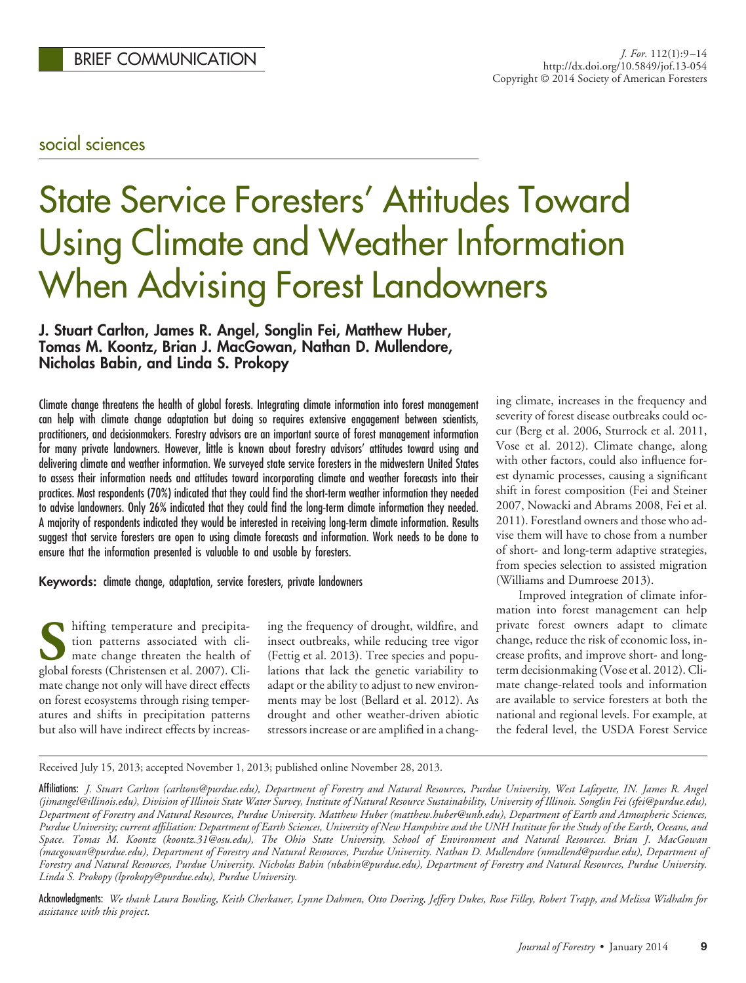## social sciences

# State Service Foresters' Attitudes Toward Using Climate and Weather Information When Advising Forest Landowners

## **J. Stuart Carlton, James R. Angel, Songlin Fei, Matthew Huber, Tomas M. Koontz, Brian J. MacGowan, Nathan D. Mullendore, Nicholas Babin, and Linda S. Prokopy**

Climate change threatens the health of global forests. Integrating climate information into forest management can help with climate change adaptation but doing so requires extensive engagement between scientists, practitioners, and decisionmakers. Forestry advisors are an important source of forest management information for many private landowners. However, little is known about forestry advisors' attitudes toward using and delivering climate and weather information. We surveyed state service foresters in the midwestern United States to assess their information needs and attitudes toward incorporating climate and weather forecasts into their practices. Most respondents (70%) indicated that they could find the short-term weather information they needed to advise landowners. Only 26% indicated that they could find the long-term climate information they needed. A majority of respondents indicated they would be interested in receiving long-term climate information. Results suggest that service foresters are open to using climate forecasts and information. Work needs to be done to ensure that the information presented is valuable to and usable by foresters.

#### **Keywords:** climate change, adaptation, service foresters, private landowners

**S** hifting temperature and precipita-<br>tion patterns associated with cli-<br>mate change threaten the health of<br>global forests (Christensen et al. 2007). Clition patterns associated with climate change threaten the health of global forests (Christensen et al. 2007). Climate change not only will have direct effects on forest ecosystems through rising temperatures and shifts in precipitation patterns but also will have indirect effects by increas-

ing the frequency of drought, wildfire, and insect outbreaks, while reducing tree vigor (Fettig et al. 2013). Tree species and populations that lack the genetic variability to adapt or the ability to adjust to new environments may be lost (Bellard et al. 2012). As drought and other weather-driven abiotic stressors increase or are amplified in a changing climate, increases in the frequency and severity of forest disease outbreaks could occur (Berg et al. 2006, Sturrock et al. 2011, Vose et al. 2012). Climate change, along with other factors, could also influence forest dynamic processes, causing a significant shift in forest composition (Fei and Steiner 2007, Nowacki and Abrams 2008, Fei et al. 2011). Forestland owners and those who advise them will have to chose from a number of short- and long-term adaptive strategies, from species selection to assisted migration (Williams and Dumroese 2013).

Improved integration of climate information into forest management can help private forest owners adapt to climate change, reduce the risk of economic loss, increase profits, and improve short- and longterm decisionmaking (Vose et al. 2012). Climate change-related tools and information are available to service foresters at both the national and regional levels. For example, at the federal level, the USDA Forest Service

Received July 15, 2013; accepted November 1, 2013; published online November 28, 2013.

Acknowledgments: *We thank Laura Bowling, Keith Cherkauer, Lynne Dahmen, Otto Doering, Jeffery Dukes, Rose Filley, Robert Trapp, and Melissa Widhalm for assistance with this project.*

Affiliations: *J. Stuart Carlton (carltons@purdue.edu), Department of Forestry and Natural Resources, Purdue University, West Lafayette, IN. James R. Angel (jimangel@illinois.edu), Division of Illinois State Water Survey, Institute of Natural Resource Sustainability, University of Illinois. Songlin Fei (sfei@purdue.edu), Department of Forestry and Natural Resources, Purdue University. Matthew Huber (matthew.huber@unh.edu), Department of Earth and Atmospheric Sciences, Purdue University; current affiliation: Department of Earth Sciences, University of New Hampshire and the UNH Institute for the Study of the Earth, Oceans, and Space. Tomas M. Koontz (koontz.31@osu.edu), The Ohio State University, School of Environment and Natural Resources. Brian J. MacGowan (macgowan@purdue.edu), Department of Forestry and Natural Resources, Purdue University. Nathan D. Mullendore (nmullend@purdue.edu), Department of Forestry and Natural Resources, Purdue University. Nicholas Babin (nbabin@purdue.edu), Department of Forestry and Natural Resources, Purdue University. Linda S. Prokopy (lprokopy@purdue.edu), Purdue University.*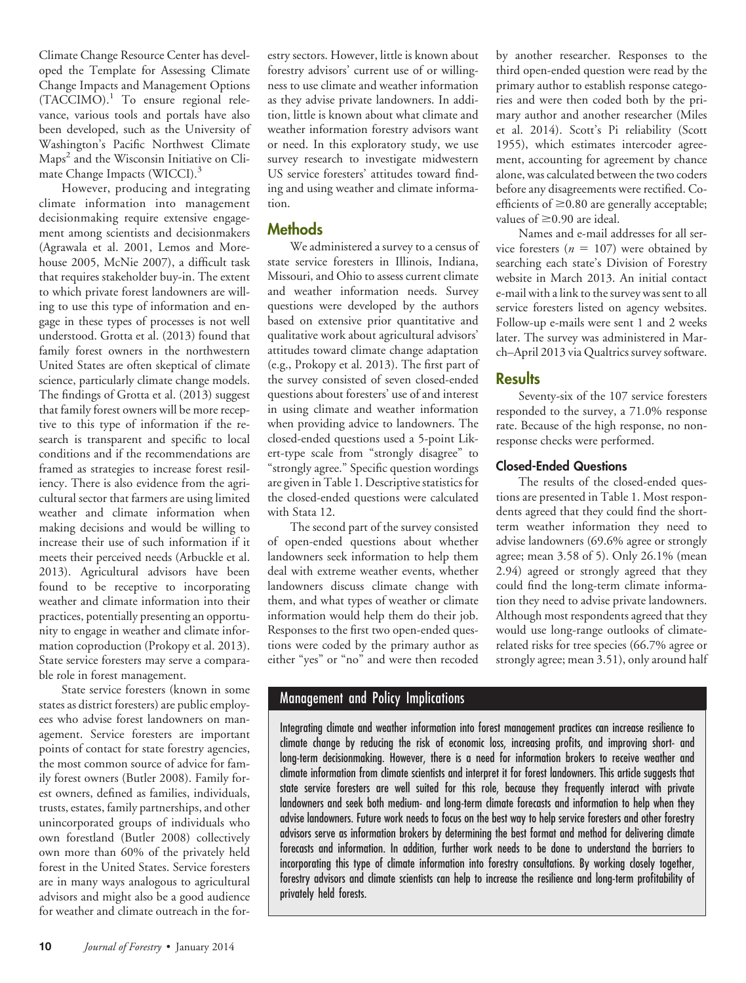Climate Change Resource Center has developed the Template for Assessing Climate Change Impacts and Management Options (TACCIMO).<sup>1</sup> To ensure regional relevance, various tools and portals have also been developed, such as the University of Washington's Pacific Northwest Climate Maps<sup>2</sup> and the Wisconsin Initiative on Climate Change Impacts (WICCI).<sup>3</sup>

However, producing and integrating climate information into management decisionmaking require extensive engagement among scientists and decisionmakers (Agrawala et al. 2001, Lemos and Morehouse 2005, McNie 2007), a difficult task that requires stakeholder buy-in. The extent to which private forest landowners are willing to use this type of information and engage in these types of processes is not well understood. Grotta et al. (2013) found that family forest owners in the northwestern United States are often skeptical of climate science, particularly climate change models. The findings of Grotta et al. (2013) suggest that family forest owners will be more receptive to this type of information if the research is transparent and specific to local conditions and if the recommendations are framed as strategies to increase forest resiliency. There is also evidence from the agricultural sector that farmers are using limited weather and climate information when making decisions and would be willing to increase their use of such information if it meets their perceived needs (Arbuckle et al. 2013). Agricultural advisors have been found to be receptive to incorporating weather and climate information into their practices, potentially presenting an opportunity to engage in weather and climate information coproduction (Prokopy et al. 2013). State service foresters may serve a comparable role in forest management.

State service foresters (known in some states as district foresters) are public employees who advise forest landowners on management. Service foresters are important points of contact for state forestry agencies, the most common source of advice for family forest owners (Butler 2008). Family forest owners, defined as families, individuals, trusts, estates, family partnerships, and other unincorporated groups of individuals who own forestland (Butler 2008) collectively own more than 60% of the privately held forest in the United States. Service foresters are in many ways analogous to agricultural advisors and might also be a good audience for weather and climate outreach in the for-

estry sectors. However, little is known about forestry advisors' current use of or willingness to use climate and weather information as they advise private landowners. In addition, little is known about what climate and weather information forestry advisors want or need. In this exploratory study, we use survey research to investigate midwestern US service foresters' attitudes toward finding and using weather and climate information.

## **Methods**

We administered a survey to a census of state service foresters in Illinois, Indiana, Missouri, and Ohio to assess current climate and weather information needs. Survey questions were developed by the authors based on extensive prior quantitative and qualitative work about agricultural advisors' attitudes toward climate change adaptation (e.g., Prokopy et al. 2013). The first part of the survey consisted of seven closed-ended questions about foresters' use of and interest in using climate and weather information when providing advice to landowners. The closed-ended questions used a 5-point Likert-type scale from "strongly disagree" to "strongly agree." Specific question wordings are given in Table 1. Descriptive statistics for the closed-ended questions were calculated with Stata 12.

The second part of the survey consisted of open-ended questions about whether landowners seek information to help them deal with extreme weather events, whether landowners discuss climate change with them, and what types of weather or climate information would help them do their job. Responses to the first two open-ended questions were coded by the primary author as either "yes" or "no" and were then recoded

by another researcher. Responses to the third open-ended question were read by the primary author to establish response categories and were then coded both by the primary author and another researcher (Miles et al. 2014). Scott's Pi reliability (Scott 1955), which estimates intercoder agreement, accounting for agreement by chance alone, was calculated between the two coders before any disagreements were rectified. Coefficients of  $\geq$ 0.80 are generally acceptable; values of  $\geq$ 0.90 are ideal.

Names and e-mail addresses for all service foresters  $(n = 107)$  were obtained by searching each state's Division of Forestry website in March 2013. An initial contact e-mail with a link to the survey was sent to all service foresters listed on agency websites. Follow-up e-mails were sent 1 and 2 weeks later. The survey was administered in March–April 2013 via Qualtrics survey software.

## **Results**

Seventy-six of the 107 service foresters responded to the survey, a 71.0% response rate. Because of the high response, no nonresponse checks were performed.

## **Closed-Ended Questions**

The results of the closed-ended questions are presented in Table 1. Most respondents agreed that they could find the shortterm weather information they need to advise landowners (69.6% agree or strongly agree; mean 3.58 of 5). Only 26.1% (mean 2.94) agreed or strongly agreed that they could find the long-term climate information they need to advise private landowners. Although most respondents agreed that they would use long-range outlooks of climaterelated risks for tree species (66.7% agree or strongly agree; mean 3.51), only around half

## Management and Policy Implications

Integrating climate and weather information into forest management practices can increase resilience to climate change by reducing the risk of economic loss, increasing profits, and improving short- and long-term decisionmaking. However, there is a need for information brokers to receive weather and climate information from climate scientists and interpret it for forest landowners. This article suggests that state service foresters are well suited for this role, because they frequently interact with private landowners and seek both medium- and long-term climate forecasts and information to help when they advise landowners. Future work needs to focus on the best way to help service foresters and other forestry advisors serve as information brokers by determining the best format and method for delivering climate forecasts and information. In addition, further work needs to be done to understand the barriers to incorporating this type of climate information into forestry consultations. By working closely together, forestry advisors and climate scientists can help to increase the resilience and long-term profitability of privately held forests.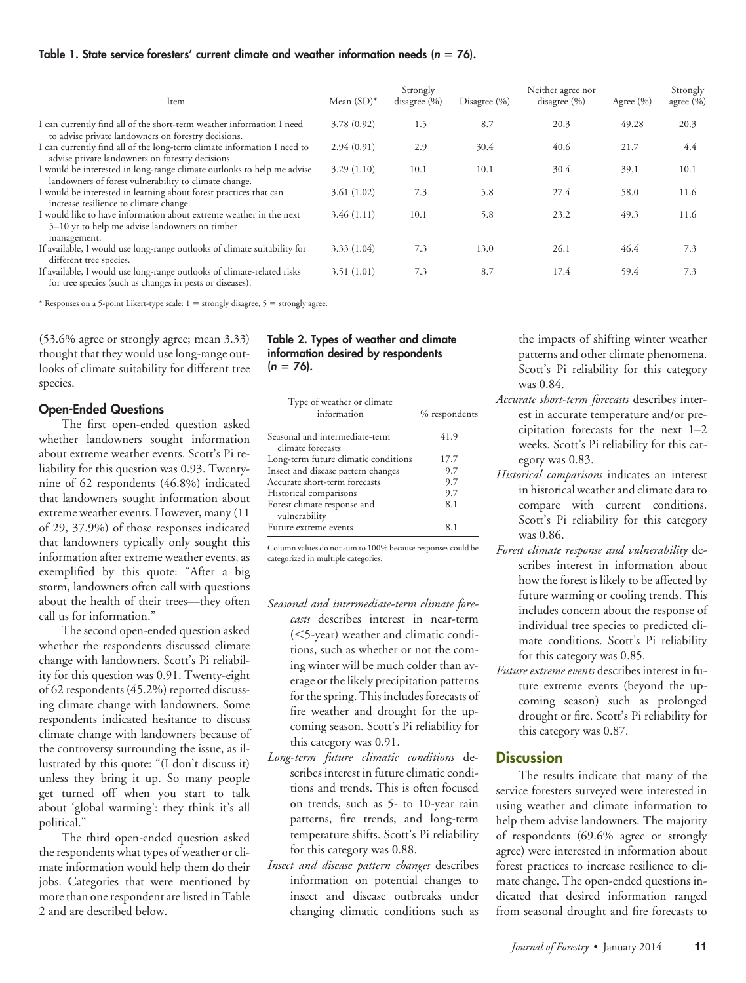#### **Table 1. State service foresters' current climate and weather information needs (***n* - **76).**

| Item                                                                                                                                | Mean $(SD)^*$ | Strongly<br>disagree $(\% )$ | Disagree $(\% )$ | Neither agree nor<br>disagree $(\% )$ | Agree $(\% )$ | Strongly<br>agree $(\% )$ |
|-------------------------------------------------------------------------------------------------------------------------------------|---------------|------------------------------|------------------|---------------------------------------|---------------|---------------------------|
| I can currently find all of the short-term weather information I need<br>to advise private landowners on forestry decisions.        | 3.78(0.92)    | 1.5                          | 8.7              | 20.3                                  | 49.28         | 20.3                      |
| I can currently find all of the long-term climate information I need to<br>advise private landowners on forestry decisions.         | 2.94(0.91)    | 2.9                          | 30.4             | 40.6                                  | 21.7          | 4.4                       |
| I would be interested in long-range climate outlooks to help me advise<br>landowners of forest vulnerability to climate change.     | 3.29(1.10)    | 10.1                         | 10.1             | 30.4                                  | 39.1          | 10.1                      |
| I would be interested in learning about forest practices that can<br>increase resilience to climate change.                         | 3.61(1.02)    | 7.3                          | 5.8              | 27.4                                  | 58.0          | 11.6                      |
| I would like to have information about extreme weather in the next<br>5–10 yr to help me advise landowners on timber<br>management. | 3.46(1.11)    | 10.1                         | 5.8              | 23.2                                  | 49.3          | 11.6                      |
| If available, I would use long-range outlooks of climate suitability for<br>different tree species.                                 | 3.33(1.04)    | 7.3                          | 13.0             | 26.1                                  | 46.4          | 7.3                       |
| If available, I would use long-range outlooks of climate-related risks<br>for tree species (such as changes in pests or diseases).  | 3.51(1.01)    | 7.3                          | 8.7              | 17.4                                  | 59.4          | 7.3                       |

\* Responses on a 5-point Likert-type scale:  $1 =$  strongly disagree,  $5 =$  strongly agree.

(53.6% agree or strongly agree; mean 3.33) thought that they would use long-range outlooks of climate suitability for different tree species.

#### **Open-Ended Questions**

The first open-ended question asked whether landowners sought information about extreme weather events. Scott's Pi reliability for this question was 0.93. Twentynine of 62 respondents (46.8%) indicated that landowners sought information about extreme weather events. However, many (11 of 29, 37.9%) of those responses indicated that landowners typically only sought this information after extreme weather events, as exemplified by this quote: "After a big storm, landowners often call with questions about the health of their trees—they often call us for information."

The second open-ended question asked whether the respondents discussed climate change with landowners. Scott's Pi reliability for this question was 0.91. Twenty-eight of 62 respondents (45.2%) reported discussing climate change with landowners. Some respondents indicated hesitance to discuss climate change with landowners because of the controversy surrounding the issue, as illustrated by this quote: "(I don't discuss it) unless they bring it up. So many people get turned off when you start to talk about 'global warming': they think it's all political."

The third open-ended question asked the respondents what types of weather or climate information would help them do their jobs. Categories that were mentioned by more than one respondent are listed in Table 2 and are described below.

#### **Table 2. Types of weather and climate information desired by respondents (***n* - **76).**

| Type of weather or climate<br>information           | % respondents |
|-----------------------------------------------------|---------------|
| Seasonal and intermediate-term<br>climate forecasts | 41.9          |
| Long-term future climatic conditions                | 17.7          |
| Insect and disease pattern changes                  | 9.7           |
| Accurate short-term forecasts                       | 9.7           |
| Historical comparisons                              | 9.7           |
| Forest climate response and<br>vulnerability        | 8.1           |
| Future extreme events                               | 8.1           |

Column values do not sum to 100% because responses could be categorized in multiple categories.

- *Seasonal and intermediate-term climate forecasts* describes interest in near-term (5-year) weather and climatic conditions, such as whether or not the coming winter will be much colder than average or the likely precipitation patterns for the spring. This includes forecasts of fire weather and drought for the upcoming season. Scott's Pi reliability for this category was 0.91.
- *Long-term future climatic conditions* describes interest in future climatic conditions and trends. This is often focused on trends, such as 5- to 10-year rain patterns, fire trends, and long-term temperature shifts. Scott's Pi reliability for this category was 0.88.
- *Insect and disease pattern changes* describes information on potential changes to insect and disease outbreaks under changing climatic conditions such as

the impacts of shifting winter weather patterns and other climate phenomena. Scott's Pi reliability for this category was 0.84.

- *Accurate short-term forecasts* describes interest in accurate temperature and/or precipitation forecasts for the next 1–2 weeks. Scott's Pi reliability for this category was 0.83.
- *Historical comparisons* indicates an interest in historical weather and climate data to compare with current conditions. Scott's Pi reliability for this category was 0.86.
- *Forest climate response and vulnerability* describes interest in information about how the forest is likely to be affected by future warming or cooling trends. This includes concern about the response of individual tree species to predicted climate conditions. Scott's Pi reliability for this category was 0.85.
- *Future extreme events* describes interest in future extreme events (beyond the upcoming season) such as prolonged drought or fire. Scott's Pi reliability for this category was 0.87.

#### **Discussion**

The results indicate that many of the service foresters surveyed were interested in using weather and climate information to help them advise landowners. The majority of respondents (69.6% agree or strongly agree) were interested in information about forest practices to increase resilience to climate change. The open-ended questions indicated that desired information ranged from seasonal drought and fire forecasts to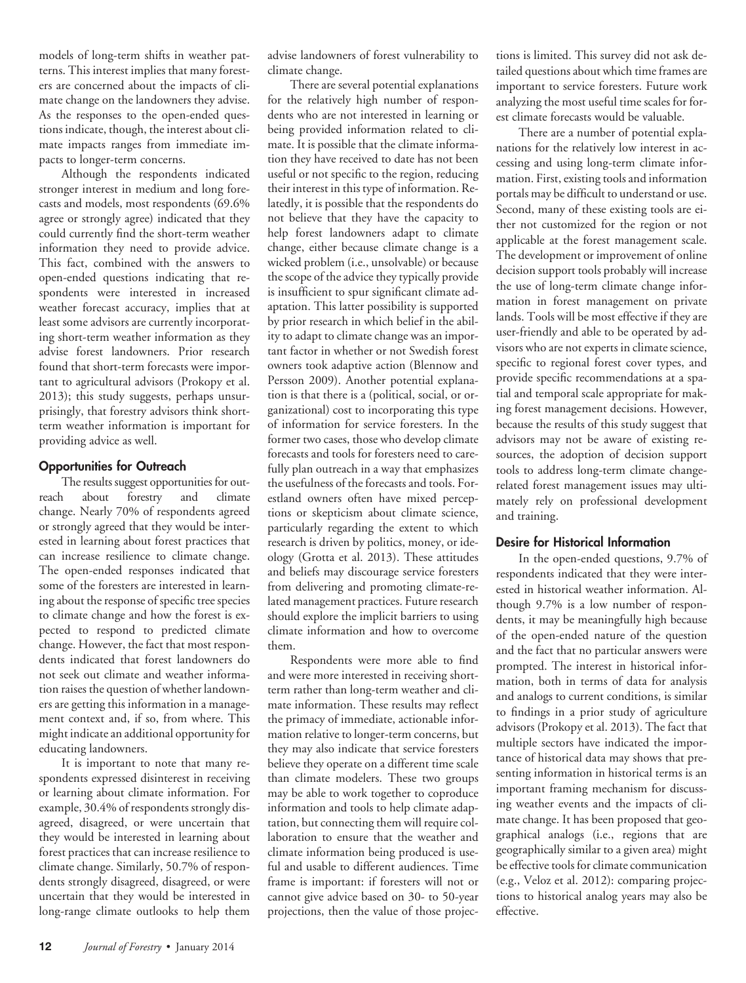models of long-term shifts in weather patterns. This interest implies that many foresters are concerned about the impacts of climate change on the landowners they advise. As the responses to the open-ended questions indicate, though, the interest about climate impacts ranges from immediate impacts to longer-term concerns.

Although the respondents indicated stronger interest in medium and long forecasts and models, most respondents (69.6% agree or strongly agree) indicated that they could currently find the short-term weather information they need to provide advice. This fact, combined with the answers to open-ended questions indicating that respondents were interested in increased weather forecast accuracy, implies that at least some advisors are currently incorporating short-term weather information as they advise forest landowners. Prior research found that short-term forecasts were important to agricultural advisors (Prokopy et al. 2013); this study suggests, perhaps unsurprisingly, that forestry advisors think shortterm weather information is important for providing advice as well.

#### **Opportunities for Outreach**

The results suggest opportunities for outreach about forestry and climate change. Nearly 70% of respondents agreed or strongly agreed that they would be interested in learning about forest practices that can increase resilience to climate change. The open-ended responses indicated that some of the foresters are interested in learning about the response of specific tree species to climate change and how the forest is expected to respond to predicted climate change. However, the fact that most respondents indicated that forest landowners do not seek out climate and weather information raises the question of whether landowners are getting this information in a management context and, if so, from where. This might indicate an additional opportunity for educating landowners.

It is important to note that many respondents expressed disinterest in receiving or learning about climate information. For example, 30.4% of respondents strongly disagreed, disagreed, or were uncertain that they would be interested in learning about forest practices that can increase resilience to climate change. Similarly, 50.7% of respondents strongly disagreed, disagreed, or were uncertain that they would be interested in long-range climate outlooks to help them advise landowners of forest vulnerability to climate change.

There are several potential explanations for the relatively high number of respondents who are not interested in learning or being provided information related to climate. It is possible that the climate information they have received to date has not been useful or not specific to the region, reducing their interest in this type of information. Relatedly, it is possible that the respondents do not believe that they have the capacity to help forest landowners adapt to climate change, either because climate change is a wicked problem (i.e., unsolvable) or because the scope of the advice they typically provide is insufficient to spur significant climate adaptation. This latter possibility is supported by prior research in which belief in the ability to adapt to climate change was an important factor in whether or not Swedish forest owners took adaptive action (Blennow and Persson 2009). Another potential explanation is that there is a (political, social, or organizational) cost to incorporating this type of information for service foresters. In the former two cases, those who develop climate forecasts and tools for foresters need to carefully plan outreach in a way that emphasizes the usefulness of the forecasts and tools. Forestland owners often have mixed perceptions or skepticism about climate science, particularly regarding the extent to which research is driven by politics, money, or ideology (Grotta et al. 2013). These attitudes and beliefs may discourage service foresters from delivering and promoting climate-related management practices. Future research should explore the implicit barriers to using climate information and how to overcome them.

Respondents were more able to find and were more interested in receiving shortterm rather than long-term weather and climate information. These results may reflect the primacy of immediate, actionable information relative to longer-term concerns, but they may also indicate that service foresters believe they operate on a different time scale than climate modelers. These two groups may be able to work together to coproduce information and tools to help climate adaptation, but connecting them will require collaboration to ensure that the weather and climate information being produced is useful and usable to different audiences. Time frame is important: if foresters will not or cannot give advice based on 30- to 50-year projections, then the value of those projections is limited. This survey did not ask detailed questions about which time frames are important to service foresters. Future work analyzing the most useful time scales for forest climate forecasts would be valuable.

There are a number of potential explanations for the relatively low interest in accessing and using long-term climate information. First, existing tools and information portals may be difficult to understand or use. Second, many of these existing tools are either not customized for the region or not applicable at the forest management scale. The development or improvement of online decision support tools probably will increase the use of long-term climate change information in forest management on private lands. Tools will be most effective if they are user-friendly and able to be operated by advisors who are not experts in climate science, specific to regional forest cover types, and provide specific recommendations at a spatial and temporal scale appropriate for making forest management decisions. However, because the results of this study suggest that advisors may not be aware of existing resources, the adoption of decision support tools to address long-term climate changerelated forest management issues may ultimately rely on professional development and training.

#### **Desire for Historical Information**

In the open-ended questions, 9.7% of respondents indicated that they were interested in historical weather information. Although 9.7% is a low number of respondents, it may be meaningfully high because of the open-ended nature of the question and the fact that no particular answers were prompted. The interest in historical information, both in terms of data for analysis and analogs to current conditions, is similar to findings in a prior study of agriculture advisors (Prokopy et al. 2013). The fact that multiple sectors have indicated the importance of historical data may shows that presenting information in historical terms is an important framing mechanism for discussing weather events and the impacts of climate change. It has been proposed that geographical analogs (i.e., regions that are geographically similar to a given area) might be effective tools for climate communication (e.g., Veloz et al. 2012): comparing projections to historical analog years may also be effective.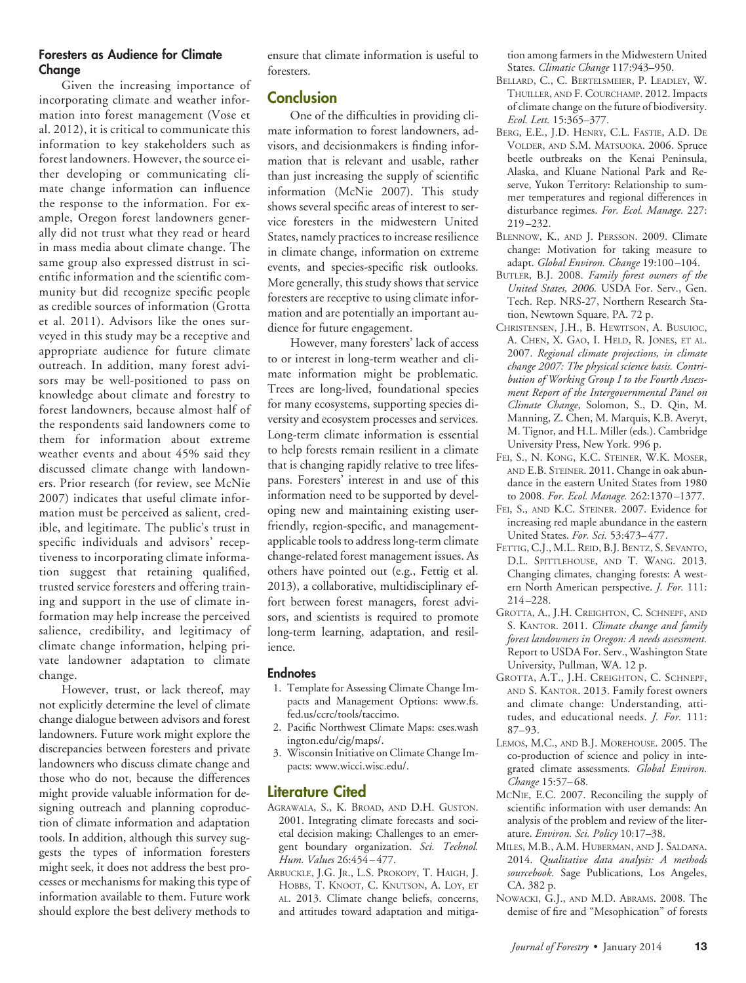#### **Foresters as Audience for Climate Change**

Given the increasing importance of incorporating climate and weather information into forest management (Vose et al. 2012), it is critical to communicate this information to key stakeholders such as forest landowners. However, the source either developing or communicating climate change information can influence the response to the information. For example, Oregon forest landowners generally did not trust what they read or heard in mass media about climate change. The same group also expressed distrust in scientific information and the scientific community but did recognize specific people as credible sources of information (Grotta et al. 2011). Advisors like the ones surveyed in this study may be a receptive and appropriate audience for future climate outreach. In addition, many forest advisors may be well-positioned to pass on knowledge about climate and forestry to forest landowners, because almost half of the respondents said landowners come to them for information about extreme weather events and about 45% said they discussed climate change with landowners. Prior research (for review, see McNie 2007) indicates that useful climate information must be perceived as salient, credible, and legitimate. The public's trust in specific individuals and advisors' receptiveness to incorporating climate information suggest that retaining qualified, trusted service foresters and offering training and support in the use of climate information may help increase the perceived salience, credibility, and legitimacy of climate change information, helping private landowner adaptation to climate change.

However, trust, or lack thereof, may not explicitly determine the level of climate change dialogue between advisors and forest landowners. Future work might explore the discrepancies between foresters and private landowners who discuss climate change and those who do not, because the differences might provide valuable information for designing outreach and planning coproduction of climate information and adaptation tools. In addition, although this survey suggests the types of information foresters might seek, it does not address the best processes or mechanisms for making this type of information available to them. Future work should explore the best delivery methods to

ensure that climate information is useful to foresters.

#### **Conclusion**

One of the difficulties in providing climate information to forest landowners, advisors, and decisionmakers is finding information that is relevant and usable, rather than just increasing the supply of scientific information (McNie 2007). This study shows several specific areas of interest to service foresters in the midwestern United States, namely practices to increase resilience in climate change, information on extreme events, and species-specific risk outlooks. More generally, this study shows that service foresters are receptive to using climate information and are potentially an important audience for future engagement.

However, many foresters' lack of access to or interest in long-term weather and climate information might be problematic. Trees are long-lived, foundational species for many ecosystems, supporting species diversity and ecosystem processes and services. Long-term climate information is essential to help forests remain resilient in a climate that is changing rapidly relative to tree lifespans. Foresters' interest in and use of this information need to be supported by developing new and maintaining existing userfriendly, region-specific, and managementapplicable tools to address long-term climate change-related forest management issues. As others have pointed out (e.g., Fettig et al. 2013), a collaborative, multidisciplinary effort between forest managers, forest advisors, and scientists is required to promote long-term learning, adaptation, and resilience.

#### **Endnotes**

- 1. Template for Assessing Climate Change Impacts and Management Options: [www.fs.](http://www.fs.fed.us/ccrc/tools/taccimo) [fed.us/ccrc/tools/taccimo.](http://www.fs.fed.us/ccrc/tools/taccimo)
- 2. Pacific Northwest Climate Maps: [cses.wash](cses.washington.edu/cig/maps/) [ington.edu/cig/maps/.](cses.washington.edu/cig/maps/)
- 3. Wisconsin Initiative on Climate Change Impacts: [www.wicci.wisc.edu/.](http://www.wicci.wisc.edu/)

#### **Literature Cited**

- AGRAWALA, S., K. BROAD, AND D.H. GUSTON. 2001. Integrating climate forecasts and societal decision making: Challenges to an emergent boundary organization. *Sci. Technol. Hum. Values* 26:454 – 477.
- ARBUCKLE, J.G. JR., L.S. PROKOPY, T. HAIGH, J. HOBBS, T. KNOOT, C. KNUTSON, A. LOY, ET AL. 2013. Climate change beliefs, concerns, and attitudes toward adaptation and mitiga-

tion among farmers in the Midwestern United States. *Climatic Change* 117:943–950.

- BELLARD, C., C. BERTELSMEIER, P. LEADLEY, W. THUILLER, AND F. COURCHAMP. 2012. Impacts of climate change on the future of biodiversity. *Ecol. Lett.* 15:365–377.
- BERG, E.E., J.D. HENRY, C.L. FASTIE, A.D. DE VOLDER, AND S.M. MATSUOKA. 2006. Spruce beetle outbreaks on the Kenai Peninsula, Alaska, and Kluane National Park and Reserve, Yukon Territory: Relationship to summer temperatures and regional differences in disturbance regimes. *For. Ecol. Manage.* 227: 219 –232.
- BLENNOW, K., AND J. PERSSON. 2009. Climate change: Motivation for taking measure to adapt. *Global Environ. Change* 19:100 –104.
- BUTLER, B.J. 2008. *Family forest owners of the United States, 2006.* USDA For. Serv., Gen. Tech. Rep. NRS-27, Northern Research Station, Newtown Square, PA. 72 p.
- CHRISTENSEN, J.H., B. HEWITSON, A. BUSUIOC, A. CHEN, X. GAO, I. HELD, R. JONES, ET AL. 2007. *Regional climate projections, in climate change 2007: The physical science basis. Contribution of Working Group I to the Fourth Assessment Report of the Intergovernmental Panel on Climate Change*, Solomon, S., D. Qin, M. Manning, Z. Chen, M. Marquis, K.B. Averyt, M. Tignor, and H.L. Miller (eds.). Cambridge University Press, New York. 996 p.
- FEI, S., N. KONG, K.C. STEINER, W.K. MOSER, AND E.B. STEINER. 2011. Change in oak abundance in the eastern United States from 1980 to 2008. *For. Ecol. Manage.* 262:1370 –1377.
- FEI, S., AND K.C. STEINER. 2007. Evidence for increasing red maple abundance in the eastern United States. *For. Sci.* 53:473– 477.
- FETTIG, C.J., M.L. REID, B.J. BENTZ, S. SEVANTO, D.L. SPITTLEHOUSE, AND T. WANG. 2013. Changing climates, changing forests: A western North American perspective. *J. For.* 111: 214 –228.
- GROTTA, A., J.H. CREIGHTON, C. SCHNEPF, AND S. KANTOR. 2011. *Climate change and family forest landowners in Oregon: A needs assessment.* Report to USDA For. Serv., Washington State University, Pullman, WA. 12 p.
- GROTTA, A.T., J.H. CREIGHTON, C. SCHNEPF, AND S. KANTOR. 2013. Family forest owners and climate change: Understanding, attitudes, and educational needs. *J. For.* 111: 87–93.
- LEMOS, M.C., AND B.J. MOREHOUSE. 2005. The co-production of science and policy in integrated climate assessments. *Global Environ. Change* 15:57– 68.
- MCNIE, E.C. 2007. Reconciling the supply of scientific information with user demands: An analysis of the problem and review of the literature. *Environ. Sci. Policy* 10:17–38.
- MILES, M.B., A.M. HUBERMAN, AND J. SALDANA. 2014. *Qualitative data analysis: A methods sourcebook.* Sage Publications, Los Angeles, CA. 382 p.
- NOWACKI, G.J., AND M.D. ABRAMS. 2008. The demise of fire and "Mesophication" of forests